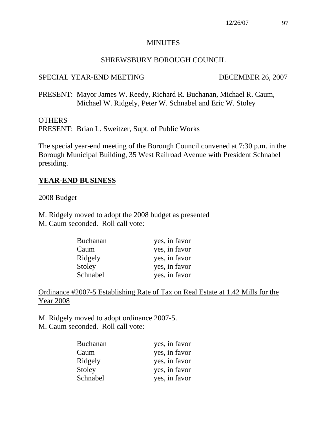#### MINUTES

#### SHREWSBURY BOROUGH COUNCIL

#### SPECIAL YEAR-END MEETING DECEMBER 26, 2007

PRESENT: Mayor James W. Reedy, Richard R. Buchanan, Michael R. Caum, Michael W. Ridgely, Peter W. Schnabel and Eric W. Stoley

#### **OTHERS**

PRESENT: Brian L. Sweitzer, Supt. of Public Works

The special year-end meeting of the Borough Council convened at 7:30 p.m. in the Borough Municipal Building, 35 West Railroad Avenue with President Schnabel presiding.

#### **YEAR-END BUSINESS**

#### 2008 Budget

M. Ridgely moved to adopt the 2008 budget as presented M. Caum seconded. Roll call vote:

| <b>Buchanan</b> | yes, in favor |
|-----------------|---------------|
| Caum            | yes, in favor |
| Ridgely         | yes, in favor |
| Stoley          | yes, in favor |
| Schnabel        | yes, in favor |

Ordinance #2007-5 Establishing Rate of Tax on Real Estate at 1.42 Mills for the Year 2008

M. Ridgely moved to adopt ordinance 2007-5.

M. Caum seconded. Roll call vote:

| <b>Buchanan</b> | yes, in favor |
|-----------------|---------------|
| Caum            | yes, in favor |
| Ridgely         | yes, in favor |
| Stoley          | yes, in favor |
| Schnabel        | yes, in favor |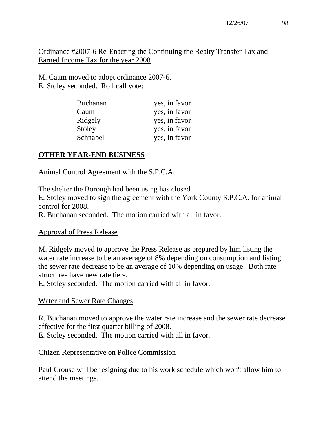12/26/07 98

Ordinance #2007-6 Re-Enacting the Continuing the Realty Transfer Tax and Earned Income Tax for the year 2008

M. Caum moved to adopt ordinance 2007-6. E. Stoley seconded. Roll call vote:

| <b>Buchanan</b> | yes, in favor |
|-----------------|---------------|
| Caum            | yes, in favor |
| Ridgely         | yes, in favor |
| Stoley          | yes, in favor |
| Schnabel        | yes, in favor |

# **OTHER YEAR-END BUSINESS**

# Animal Control Agreement with the S.P.C.A.

The shelter the Borough had been using has closed.

E. Stoley moved to sign the agreement with the York County S.P.C.A. for animal control for 2008.

R. Buchanan seconded. The motion carried with all in favor.

### Approval of Press Release

M. Ridgely moved to approve the Press Release as prepared by him listing the water rate increase to be an average of 8% depending on consumption and listing the sewer rate decrease to be an average of 10% depending on usage. Both rate structures have new rate tiers.

E. Stoley seconded. The motion carried with all in favor.

# Water and Sewer Rate Changes

R. Buchanan moved to approve the water rate increase and the sewer rate decrease effective for the first quarter billing of 2008. E. Stoley seconded. The motion carried with all in favor.

# Citizen Representative on Police Commission

Paul Crouse will be resigning due to his work schedule which won't allow him to attend the meetings.